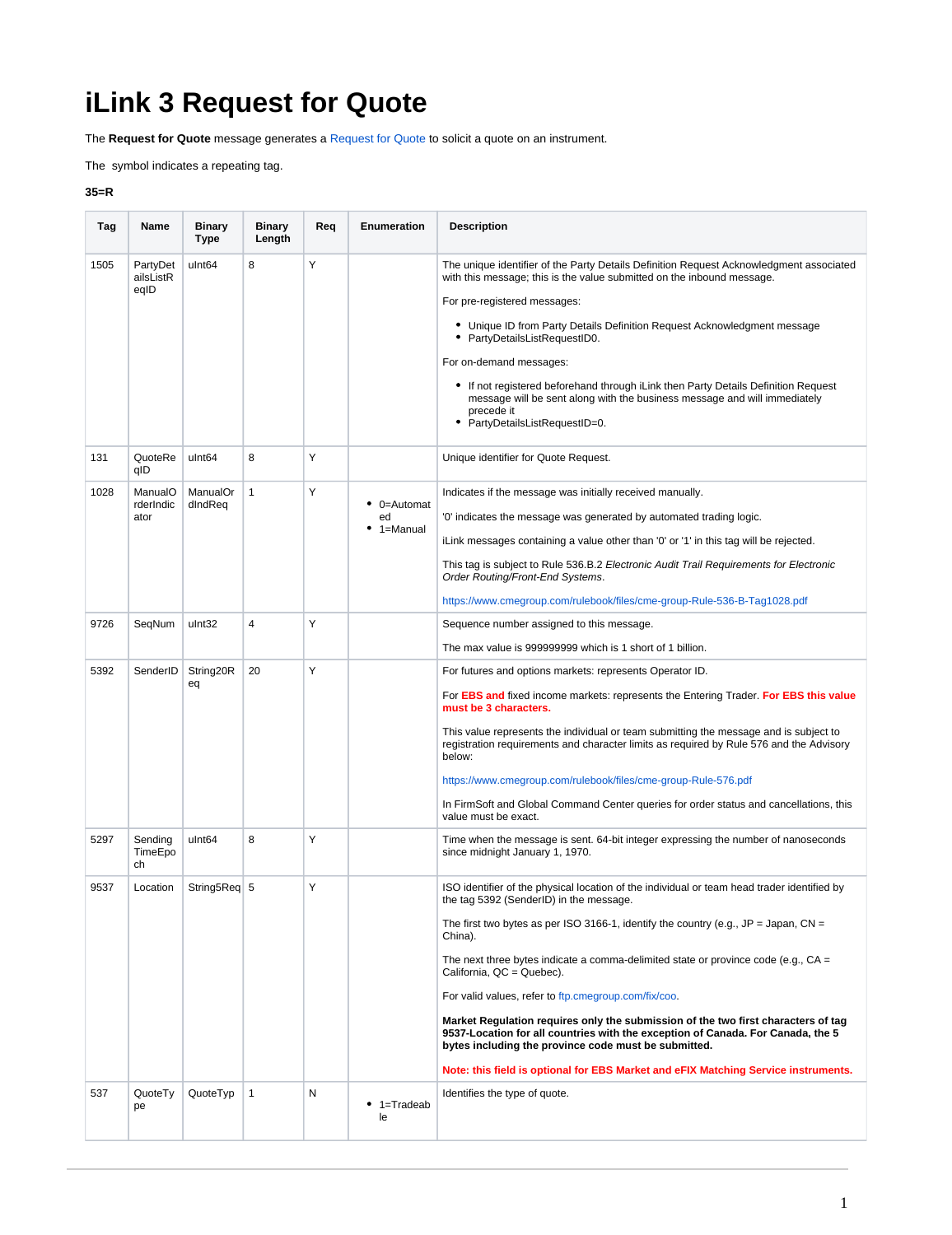## **iLink 3 Request for Quote**

The **Request for Quote** message generates a [Request for Quote](https://www.cmegroup.com/confluence/pages/viewpage.action?pageId=78447221) to solicit a quote on an instrument.

The symbol indicates a repeating tag.

## **35=R**

| Tag                 | Name                                                                            | Binary<br><b>Type</b>                                           | <b>Binary</b><br>Length | Req         | <b>Enumeration</b>                    | <b>Description</b>                                                                                                                                                                                                                                                                                                                                                                                                                                                                                                                                                                                                                                                                                                                                                                                                                                                                                                                                          |
|---------------------|---------------------------------------------------------------------------------|-----------------------------------------------------------------|-------------------------|-------------|---------------------------------------|-------------------------------------------------------------------------------------------------------------------------------------------------------------------------------------------------------------------------------------------------------------------------------------------------------------------------------------------------------------------------------------------------------------------------------------------------------------------------------------------------------------------------------------------------------------------------------------------------------------------------------------------------------------------------------------------------------------------------------------------------------------------------------------------------------------------------------------------------------------------------------------------------------------------------------------------------------------|
| 1505<br>131<br>1028 | PartyDet<br>ailsListR<br>eqID<br>QuoteRe<br>qID<br>ManualO<br>rderIndic<br>ator | ulnt <sub>64</sub><br>ulnt <sub>64</sub><br>ManualOr<br>dIndReq | 8<br>8<br>1             | Υ<br>Y<br>Υ | $\bullet$ 0=Automat<br>ed<br>1=Manual | The unique identifier of the Party Details Definition Request Acknowledgment associated<br>with this message; this is the value submitted on the inbound message.<br>For pre-registered messages:<br>• Unique ID from Party Details Definition Request Acknowledgment message<br>PartyDetailsListRequestID0.<br>For on-demand messages:<br>• If not registered beforehand through iLink then Party Details Definition Request<br>message will be sent along with the business message and will immediately<br>precede it<br>PartyDetailsListRequestID=0.<br>Unique identifier for Quote Request.<br>Indicates if the message was initially received manually.<br>'0' indicates the message was generated by automated trading logic.<br>iLink messages containing a value other than '0' or '1' in this tag will be rejected.<br>This tag is subject to Rule 536.B.2 Electronic Audit Trail Requirements for Electronic<br>Order Routing/Front-End Systems. |
| 9726                | SeqNum                                                                          | ulnt32                                                          | 4                       | Υ           |                                       | https://www.cmegroup.com/rulebook/files/cme-group-Rule-536-B-Tag1028.pdf<br>Sequence number assigned to this message.                                                                                                                                                                                                                                                                                                                                                                                                                                                                                                                                                                                                                                                                                                                                                                                                                                       |
|                     |                                                                                 |                                                                 |                         |             |                                       | The max value is 999999999 which is 1 short of 1 billion.                                                                                                                                                                                                                                                                                                                                                                                                                                                                                                                                                                                                                                                                                                                                                                                                                                                                                                   |
| 5392                | SenderID                                                                        | String20R<br>eq                                                 | 20                      | Y           |                                       | For futures and options markets: represents Operator ID.<br>For EBS and fixed income markets: represents the Entering Trader. For EBS this value<br>must be 3 characters.<br>This value represents the individual or team submitting the message and is subject to<br>registration requirements and character limits as required by Rule 576 and the Advisory<br>below:<br>https://www.cmegroup.com/rulebook/files/cme-group-Rule-576.pdf<br>In FirmSoft and Global Command Center queries for order status and cancellations, this<br>value must be exact.                                                                                                                                                                                                                                                                                                                                                                                                 |
| 5297                | Sending<br>TimeEpo<br>ch                                                        | ulnt64                                                          | 8                       | Υ           |                                       | Time when the message is sent. 64-bit integer expressing the number of nanoseconds<br>since midnight January 1, 1970.                                                                                                                                                                                                                                                                                                                                                                                                                                                                                                                                                                                                                                                                                                                                                                                                                                       |
| 9537                | Location                                                                        | String5Req 5                                                    |                         | Υ           |                                       | ISO identifier of the physical location of the individual or team head trader identified by<br>the tag 5392 (SenderID) in the message.<br>The first two bytes as per ISO 3166-1, identify the country (e.g., JP = Japan, CN =<br>China).<br>The next three bytes indicate a comma-delimited state or province code (e.g., $CA =$<br>California, QC = Quebec).<br>For valid values, refer to ftp.cmegroup.com/fix/coo.<br>Market Regulation requires only the submission of the two first characters of tag<br>9537-Location for all countries with the exception of Canada. For Canada, the 5<br>bytes including the province code must be submitted.<br>Note: this field is optional for EBS Market and eFIX Matching Service instruments.                                                                                                                                                                                                                 |
| 537                 | QuoteTy<br>pe                                                                   | QuoteTyp                                                        | 1                       | N           | $• 1 = Tradeab$<br>le                 | Identifies the type of quote.                                                                                                                                                                                                                                                                                                                                                                                                                                                                                                                                                                                                                                                                                                                                                                                                                                                                                                                               |